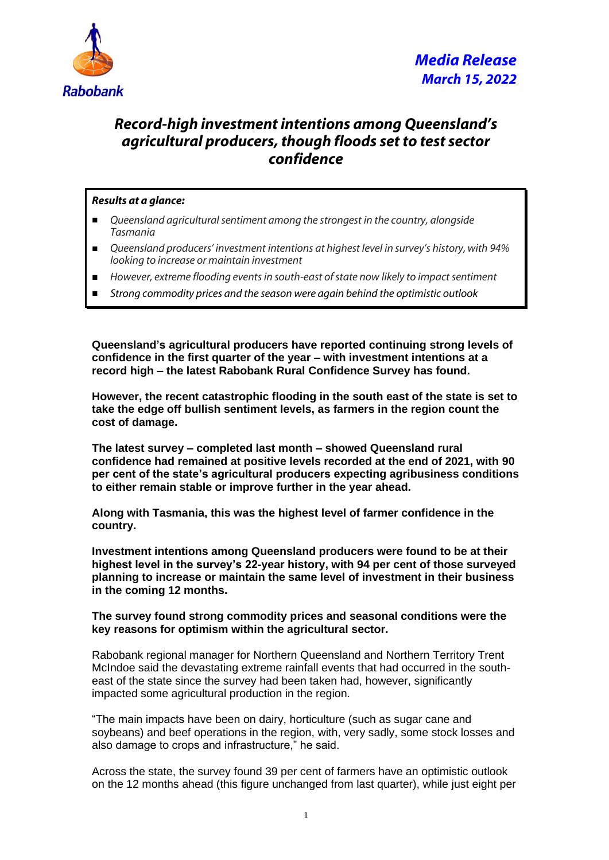

## *Record-high investment intentions among Queensland's agricultural producers, though floods set to test sector confidence*

## *Results at a glance:*

- *Queensland agricultural sentiment among the strongest in the country, alongside Tasmania*
- *Queensland producers' investment intentions at highest level in survey's history, with 94% looking to increase or maintain investment*
- *However, extreme flooding events in south-east of state now likely to impact sentiment*
- *Strong commodity prices and the season were again behind the optimistic outlook*

**Queensland's agricultural producers have reported continuing strong levels of confidence in the first quarter of the year – with investment intentions at a record high – the latest Rabobank Rural Confidence Survey has found.**

**However, the recent catastrophic flooding in the south east of the state is set to take the edge off bullish sentiment levels, as farmers in the region count the cost of damage.**

**The latest survey – completed last month – showed Queensland rural confidence had remained at positive levels recorded at the end of 2021, with 90 per cent of the state's agricultural producers expecting agribusiness conditions to either remain stable or improve further in the year ahead.**

**Along with Tasmania, this was the highest level of farmer confidence in the country.**

**Investment intentions among Queensland producers were found to be at their highest level in the survey's 22-year history, with 94 per cent of those surveyed planning to increase or maintain the same level of investment in their business in the coming 12 months.**

## **The survey found strong commodity prices and seasonal conditions were the key reasons for optimism within the agricultural sector.**

Rabobank regional manager for Northern Queensland and Northern Territory Trent McIndoe said the devastating extreme rainfall events that had occurred in the southeast of the state since the survey had been taken had, however, significantly impacted some agricultural production in the region.

"The main impacts have been on dairy, horticulture (such as sugar cane and soybeans) and beef operations in the region, with, very sadly, some stock losses and also damage to crops and infrastructure," he said.

Across the state, the survey found 39 per cent of farmers have an optimistic outlook on the 12 months ahead (this figure unchanged from last quarter), while just eight per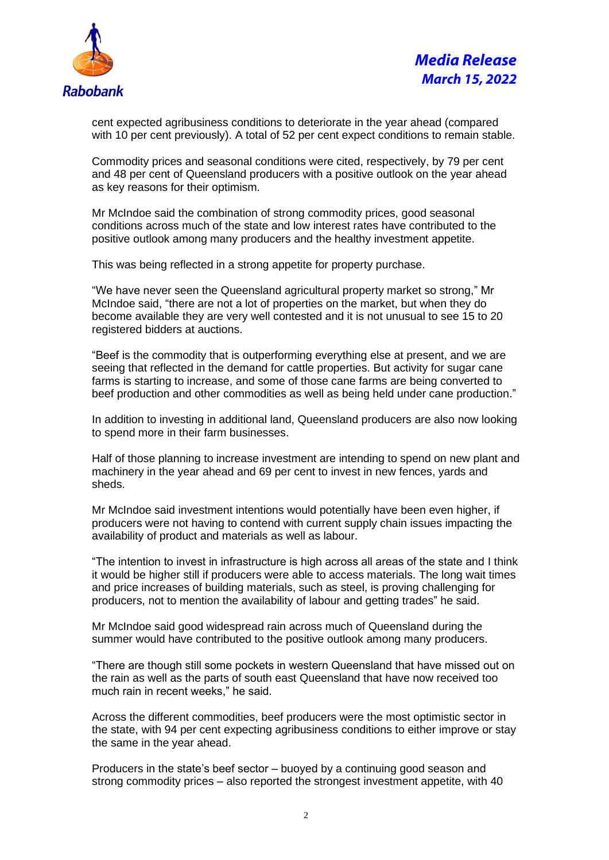

cent expected agribusiness conditions to deteriorate in the year ahead (compared with 10 per cent previously). A total of 52 per cent expect conditions to remain stable.

Commodity prices and seasonal conditions were cited, respectively, by 79 per cent and 48 per cent of Queensland producers with a positive outlook on the year ahead as key reasons for their optimism.

Mr McIndoe said the combination of strong commodity prices, good seasonal conditions across much of the state and low interest rates have contributed to the positive outlook among many producers and the healthy investment appetite.

This was being reflected in a strong appetite for property purchase.

"We have never seen the Queensland agricultural property market so strong," Mr McIndoe said, "there are not a lot of properties on the market, but when they do become available they are very well contested and it is not unusual to see 15 to 20 registered bidders at auctions.

"Beef is the commodity that is outperforming everything else at present, and we are seeing that reflected in the demand for cattle properties. But activity for sugar cane farms is starting to increase, and some of those cane farms are being converted to beef production and other commodities as well as being held under cane production."

In addition to investing in additional land, Queensland producers are also now looking to spend more in their farm businesses.

Half of those planning to increase investment are intending to spend on new plant and machinery in the year ahead and 69 per cent to invest in new fences, yards and sheds.

Mr McIndoe said investment intentions would potentially have been even higher, if producers were not having to contend with current supply chain issues impacting the availability of product and materials as well as labour.

"The intention to invest in infrastructure is high across all areas of the state and I think it would be higher still if producers were able to access materials. The long wait times and price increases of building materials, such as steel, is proving challenging for producers, not to mention the availability of labour and getting trades" he said.

Mr McIndoe said good widespread rain across much of Queensland during the summer would have contributed to the positive outlook among many producers.

"There are though still some pockets in western Queensland that have missed out on the rain as well as the parts of south east Queensland that have now received too much rain in recent weeks," he said.

Across the different commodities, beef producers were the most optimistic sector in the state, with 94 per cent expecting agribusiness conditions to either improve or stay the same in the year ahead.

Producers in the state's beef sector – buoyed by a continuing good season and strong commodity prices – also reported the strongest investment appetite, with 40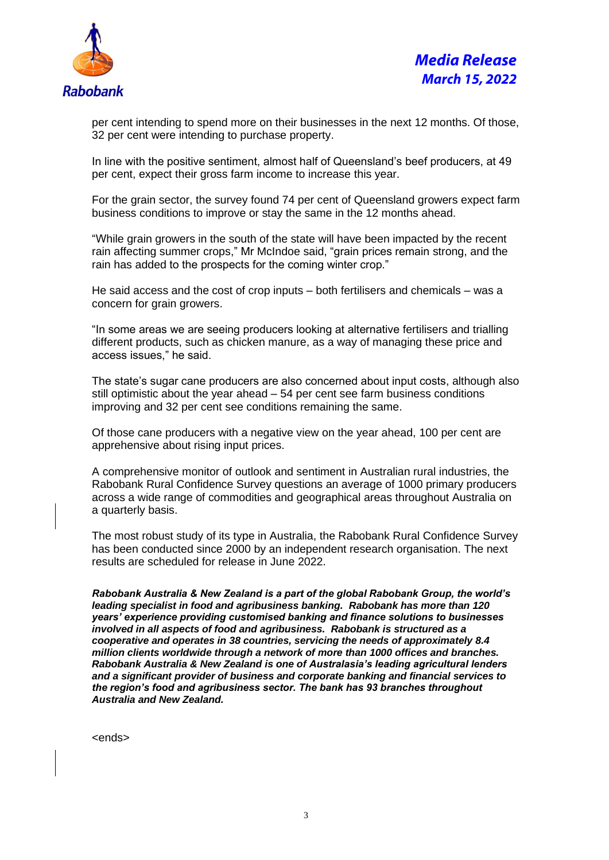

per cent intending to spend more on their businesses in the next 12 months. Of those, 32 per cent were intending to purchase property.

In line with the positive sentiment, almost half of Queensland's beef producers, at 49 per cent, expect their gross farm income to increase this year.

For the grain sector, the survey found 74 per cent of Queensland growers expect farm business conditions to improve or stay the same in the 12 months ahead.

"While grain growers in the south of the state will have been impacted by the recent rain affecting summer crops," Mr McIndoe said, "grain prices remain strong, and the rain has added to the prospects for the coming winter crop."

He said access and the cost of crop inputs – both fertilisers and chemicals – was a concern for grain growers.

"In some areas we are seeing producers looking at alternative fertilisers and trialling different products, such as chicken manure, as a way of managing these price and access issues," he said.

The state's sugar cane producers are also concerned about input costs, although also still optimistic about the year ahead – 54 per cent see farm business conditions improving and 32 per cent see conditions remaining the same.

Of those cane producers with a negative view on the year ahead, 100 per cent are apprehensive about rising input prices.

A comprehensive monitor of outlook and sentiment in Australian rural industries, the Rabobank Rural Confidence Survey questions an average of 1000 primary producers across a wide range of commodities and geographical areas throughout Australia on a quarterly basis.

The most robust study of its type in Australia, the Rabobank Rural Confidence Survey has been conducted since 2000 by an independent research organisation. The next results are scheduled for release in June 2022.

*Rabobank Australia & New Zealand is a part of the global Rabobank Group, the world's leading specialist in food and agribusiness banking. Rabobank has more than 120 years' experience providing customised banking and finance solutions to businesses involved in all aspects of food and agribusiness. Rabobank is structured as a cooperative and operates in 38 countries, servicing the needs of approximately 8.4 million clients worldwide through a network of more than 1000 offices and branches. Rabobank Australia & New Zealand is one of Australasia's leading agricultural lenders and a significant provider of business and corporate banking and financial services to the region's food and agribusiness sector. The bank has 93 branches throughout Australia and New Zealand.*

<ends>